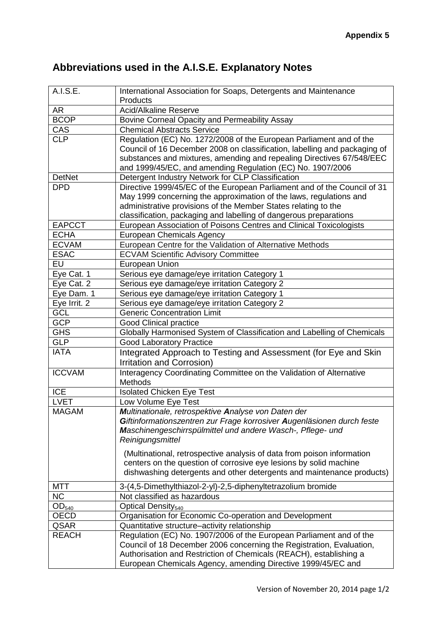## **Abbreviations used in the A.I.S.E. Explanatory Notes**

| A.I.S.E.          | International Association for Soaps, Detergents and Maintenance<br>Products |
|-------------------|-----------------------------------------------------------------------------|
| <b>AR</b>         | <b>Acid/Alkaline Reserve</b>                                                |
| <b>BCOP</b>       | Bovine Corneal Opacity and Permeability Assay                               |
|                   | <b>Chemical Abstracts Service</b>                                           |
| CAS<br><b>CLP</b> | Regulation (EC) No. 1272/2008 of the European Parliament and of the         |
|                   | Council of 16 December 2008 on classification, labelling and packaging of   |
|                   | substances and mixtures, amending and repealing Directives 67/548/EEC       |
|                   | and 1999/45/EC, and amending Regulation (EC) No. 1907/2006                  |
| <b>DetNet</b>     | Detergent Industry Network for CLP Classification                           |
| <b>DPD</b>        | Directive 1999/45/EC of the European Parliament and of the Council of 31    |
|                   | May 1999 concerning the approximation of the laws, regulations and          |
|                   | administrative provisions of the Member States relating to the              |
|                   | classification, packaging and labelling of dangerous preparations           |
| <b>EAPCCT</b>     | European Association of Poisons Centres and Clinical Toxicologists          |
| <b>ECHA</b>       | <b>European Chemicals Agency</b>                                            |
| <b>ECVAM</b>      | European Centre for the Validation of Alternative Methods                   |
| <b>ESAC</b>       | <b>ECVAM Scientific Advisory Committee</b>                                  |
| EU                | <b>European Union</b>                                                       |
| Eye Cat. 1        | Serious eye damage/eye irritation Category 1                                |
| Eye Cat. 2        | Serious eye damage/eye irritation Category 2                                |
| Eye Dam. 1        | Serious eye damage/eye irritation Category 1                                |
| Eye Irrit. 2      | Serious eye damage/eye irritation Category 2                                |
| <b>GCL</b>        | <b>Generic Concentration Limit</b>                                          |
| <b>GCP</b>        | Good Clinical practice                                                      |
| <b>GHS</b>        | Globally Harmonised System of Classification and Labelling of Chemicals     |
| <b>GLP</b>        | <b>Good Laboratory Practice</b>                                             |
| <b>IATA</b>       | Integrated Approach to Testing and Assessment (for Eye and Skin             |
|                   | Irritation and Corrosion)                                                   |
| <b>ICCVAM</b>     | Interagency Coordinating Committee on the Validation of Alternative         |
|                   | Methods                                                                     |
| <b>ICE</b>        | <b>Isolated Chicken Eye Test</b>                                            |
| <b>LVET</b>       | Low Volume Eye Test                                                         |
| <b>MAGAM</b>      | Multinationale, retrospektive Analyse von Daten der                         |
|                   | Giftinformationszentren zur Frage korrosiver Augenläsionen durch feste      |
|                   | Maschinengeschirrspülmittel und andere Wasch-, Pflege- und                  |
|                   | Reinigungsmittel                                                            |
|                   | (Multinational, retrospective analysis of data from poison information      |
|                   | centers on the question of corrosive eye lesions by solid machine           |
|                   | dishwashing detergents and other detergents and maintenance products)       |
| <b>MTT</b>        | 3-(4,5-Dimethylthiazol-2-yl)-2,5-diphenyltetrazolium bromide                |
| NC                | Not classified as hazardous                                                 |
| OD <sub>540</sub> | Optical Density <sub>540</sub>                                              |
| OECD              | Organisation for Economic Co-operation and Development                      |
| QSAR              | Quantitative structure-activity relationship                                |
| <b>REACH</b>      | Regulation (EC) No. 1907/2006 of the European Parliament and of the         |
|                   | Council of 18 December 2006 concerning the Registration, Evaluation,        |
|                   | Authorisation and Restriction of Chemicals (REACH), establishing a          |
|                   | European Chemicals Agency, amending Directive 1999/45/EC and                |